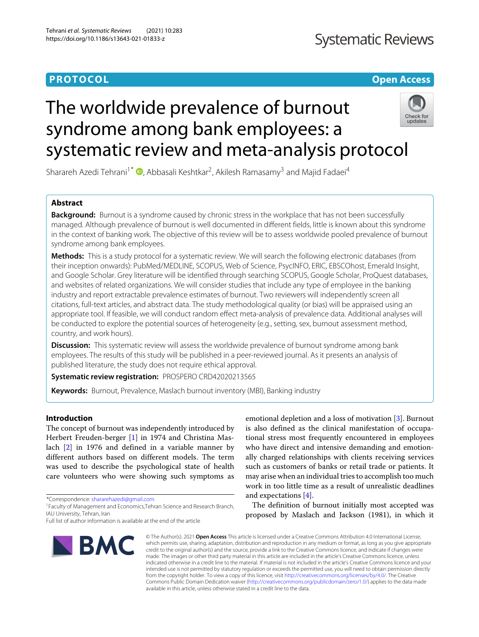# **PROTOCOL Open Access**

# The worldwide prevalence of burnout syndrome among bank employees: a systematic review and meta-analysis protocol



Sharareh Azedi Tehrani<sup>1\*</sup> (D[,](http://orcid.org/0000-0002-8557-8893) Abbasali Keshtkar<sup>2</sup>, Akilesh Ramasamy<sup>3</sup> and Majid Fadaei<sup>4</sup>

# **Abstract**

**Background:** Burnout is a syndrome caused by chronic stress in the workplace that has not been successfully managed. Although prevalence of burnout is well documented in different fields, little is known about this syndrome in the context of banking work. The objective of this review will be to assess worldwide pooled prevalence of burnout syndrome among bank employees.

**Methods:** This is a study protocol for a systematic review. We will search the following electronic databases (from their inception onwards): PubMed/MEDLINE, SCOPUS, Web of Science, PsycINFO, ERIC, EBSCOhost, Emerald Insight, and Google Scholar. Grey literature will be identified through searching SCOPUS, Google Scholar, ProQuest databases, and websites of related organizations. We will consider studies that include any type of employee in the banking industry and report extractable prevalence estimates of burnout. Two reviewers will independently screen all citations, full-text articles, and abstract data. The study methodological quality (or bias) will be appraised using an appropriate tool. If feasible, we will conduct random effect meta-analysis of prevalence data. Additional analyses will be conducted to explore the potential sources of heterogeneity (e.g., setting, sex, burnout assessment method, country, and work hours).

**Discussion:** This systematic review will assess the worldwide prevalence of burnout syndrome among bank employees. The results of this study will be published in a peer-reviewed journal. As it presents an analysis of published literature, the study does not require ethical approval.

**Systematic review registration:** PROSPERO CRD42020213565

**Keywords:** Burnout, Prevalence, Maslach burnout inventory (MBI), Banking industry

# **Introduction**

The concept of burnout was independently introduced by Herbert Freuden-berger [\[1\]](#page-5-0) in 1974 and Christina Maslach [\[2\]](#page-5-1) in 1976 and defined in a variable manner by different authors based on different models. The term was used to describe the psychological state of health care volunteers who were showing such symptoms as

\*Correspondence: [shararehazedi@gmail.com](mailto: shararehazedi@gmail.com)

Full list of author information is available at the end of the article



emotional depletion and a loss of motivation [\[3\]](#page-5-2). Burnout is also defined as the clinical manifestation of occupational stress most frequently encountered in employees who have direct and intensive demanding and emotionally charged relationships with clients receiving services such as customers of banks or retail trade or patients. It may arise when an individual tries to accomplish too much work in too little time as a result of unrealistic deadlines and expectations [\[4\]](#page-5-3).

The definition of burnout initially most accepted was proposed by Maslach and Jackson (1981), in which it

© The Author(s). 2021 **Open Access** This article is licensed under a Creative Commons Attribution 4.0 International License, which permits use, sharing, adaptation, distribution and reproduction in any medium or format, as long as you give appropriate credit to the original author(s) and the source, provide a link to the Creative Commons licence, and indicate if changes were made. The images or other third party material in this article are included in the article's Creative Commons licence, unless indicated otherwise in a credit line to the material. If material is not included in the article's Creative Commons licence and your intended use is not permitted by statutory regulation or exceeds the permitted use, you will need to obtain permission directly from the copyright holder. To view a copy of this licence, visit [http://creativecommons.org/licenses/by/4.0/.](http://creativecommons.org/licenses/by/4.0/) The Creative Commons Public Domain Dedication waiver [\(http://creativecommons.org/publicdomain/zero/1.0/\)](http://creativecommons.org/publicdomain/zero/1.0/) applies to the data made available in this article, unless otherwise stated in a credit line to the data.

<sup>1</sup>Faculty of Management and Economics,Tehran Science and Research Branch, IAU University, Tehran, Iran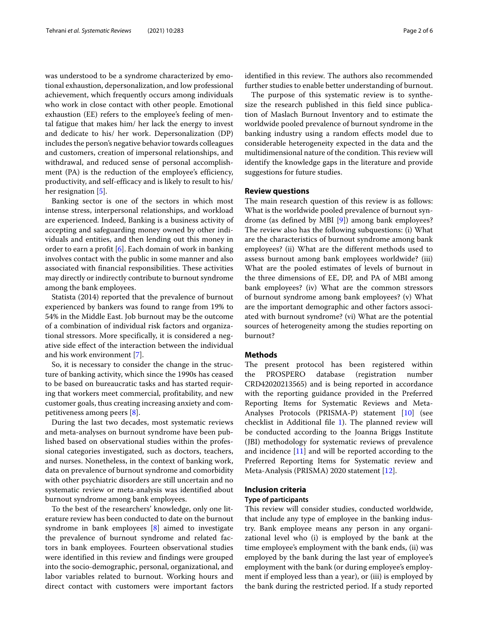was understood to be a syndrome characterized by emotional exhaustion, depersonalization, and low professional achievement, which frequently occurs among individuals who work in close contact with other people. Emotional exhaustion (EE) refers to the employee's feeling of mental fatigue that makes him/ her lack the energy to invest and dedicate to his/ her work. Depersonalization (DP) includes the person's negative behavior towards colleagues and customers, creation of impersonal relationships, and withdrawal, and reduced sense of personal accomplishment (PA) is the reduction of the employee's efficiency, productivity, and self-efficacy and is likely to result to his/ her resignation [\[5\]](#page-5-4).

Banking sector is one of the sectors in which most intense stress, interpersonal relationships, and workload are experienced. Indeed, Banking is a business activity of accepting and safeguarding money owned by other individuals and entities, and then lending out this money in order to earn a profit [\[6\]](#page-5-5). Each domain of work in banking involves contact with the public in some manner and also associated with financial responsibilities. These activities may directly or indirectly contribute to burnout syndrome among the bank employees.

Statista (2014) reported that the prevalence of burnout experienced by bankers was found to range from 19% to 54% in the Middle East. Job burnout may be the outcome of a combination of individual risk factors and organizational stressors. More specifically, it is considered a negative side effect of the interaction between the individual and his work environment [\[7\]](#page-5-6).

So, it is necessary to consider the change in the structure of banking activity, which since the 1990s has ceased to be based on bureaucratic tasks and has started requiring that workers meet commercial, profitability, and new customer goals, thus creating increasing anxiety and competitiveness among peers [\[8\]](#page-5-7).

During the last two decades, most systematic reviews and meta-analyses on burnout syndrome have been published based on observational studies within the professional categories investigated, such as doctors, teachers, and nurses. Nonetheless, in the context of banking work, data on prevalence of burnout syndrome and comorbidity with other psychiatric disorders are still uncertain and no systematic review or meta-analysis was identified about burnout syndrome among bank employees.

To the best of the researchers' knowledge, only one literature review has been conducted to date on the burnout syndrome in bank employees [\[8\]](#page-5-7) aimed to investigate the prevalence of burnout syndrome and related factors in bank employees. Fourteen observational studies were identified in this review and findings were grouped into the socio-demographic, personal, organizational, and labor variables related to burnout. Working hours and direct contact with customers were important factors

identified in this review. The authors also recommended further studies to enable better understanding of burnout.

The purpose of this systematic review is to synthesize the research published in this field since publication of Maslach Burnout Inventory and to estimate the worldwide pooled prevalence of burnout syndrome in the banking industry using a random effects model due to considerable heterogeneity expected in the data and the multidimensional nature of the condition. This review will identify the knowledge gaps in the literature and provide suggestions for future studies.

#### **Review questions**

The main research question of this review is as follows: What is the worldwide pooled prevalence of burnout syndrome (as defined by MBI [\[9\]](#page-5-8)) among bank employees? The review also has the following subquestions: (i) What are the characteristics of burnout syndrome among bank employees? (ii) What are the different methods used to assess burnout among bank employees worldwide? (iii) What are the pooled estimates of levels of burnout in the three dimensions of EE, DP, and PA of MBI among bank employees? (iv) What are the common stressors of burnout syndrome among bank employees? (v) What are the important demographic and other factors associated with burnout syndrome? (vi) What are the potential sources of heterogeneity among the studies reporting on burnout?

# **Methods**

The present protocol has been registered within the PROSPERO database (registration number CRD42020213565) and is being reported in accordance with the reporting guidance provided in the Preferred Reporting Items for Systematic Reviews and Meta-Analyses Protocols (PRISMA-P) statement [\[10\]](#page-5-9) (see checklist in Additional file [1\)](#page-4-0). The planned review will be conducted according to the Joanna Briggs Institute (JBI) methodology for systematic reviews of prevalence and incidence [\[11\]](#page-5-10) and will be reported according to the Preferred Reporting Items for Systematic review and Meta-Analysis (PRISMA) 2020 statement [\[12\]](#page-5-11).

# **Inclusion criteria**

# **Type of participants**

This review will consider studies, conducted worldwide, that include any type of employee in the banking industry. Bank employee means any person in any organizational level who (i) is employed by the bank at the time employee's employment with the bank ends, (ii) was employed by the bank during the last year of employee's employment with the bank (or during employee's employment if employed less than a year), or (iii) is employed by the bank during the restricted period. If a study reported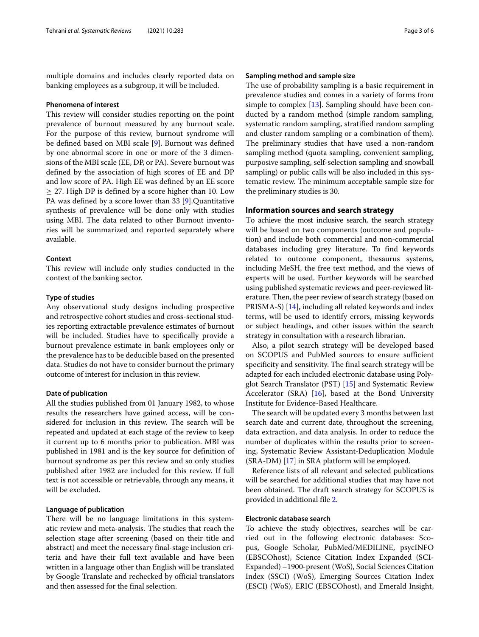multiple domains and includes clearly reported data on banking employees as a subgroup, it will be included.

# **Phenomena of interest**

This review will consider studies reporting on the point prevalence of burnout measured by any burnout scale. For the purpose of this review, burnout syndrome will be defined based on MBI scale [\[9\]](#page-5-8). Burnout was defined by one abnormal score in one or more of the 3 dimensions of the MBI scale (EE, DP, or PA). Severe burnout was defined by the association of high scores of EE and DP and low score of PA. High EE was defined by an EE score  $\geq$  27. High DP is defined by a score higher than 10. Low PA was defined by a score lower than 33 [\[9\]](#page-5-8).Quantitative synthesis of prevalence will be done only with studies using MBI. The data related to other Burnout inventories will be summarized and reported separately where available.

# **Context**

This review will include only studies conducted in the context of the banking sector.

# **Type of studies**

Any observational study designs including prospective and retrospective cohort studies and cross-sectional studies reporting extractable prevalence estimates of burnout will be included. Studies have to specifically provide a burnout prevalence estimate in bank employees only or the prevalence has to be deducible based on the presented data. Studies do not have to consider burnout the primary outcome of interest for inclusion in this review.

### **Date of publication**

All the studies published from 01 January 1982, to whose results the researchers have gained access, will be considered for inclusion in this review. The search will be repeated and updated at each stage of the review to keep it current up to 6 months prior to publication. MBI was published in 1981 and is the key source for definition of burnout syndrome as per this review and so only studies published after 1982 are included for this review. If full text is not accessible or retrievable, through any means, it will be excluded.

# **Language of publication**

There will be no language limitations in this systematic review and meta-analysis. The studies that reach the selection stage after screening (based on their title and abstract) and meet the necessary final-stage inclusion criteria and have their full text available and have been written in a language other than English will be translated by Google Translate and rechecked by official translators and then assessed for the final selection.

#### **Sampling method and sample size**

The use of probability sampling is a basic requirement in prevalence studies and comes in a variety of forms from simple to complex  $[13]$ . Sampling should have been conducted by a random method (simple random sampling, systematic random sampling, stratified random sampling and cluster random sampling or a combination of them). The preliminary studies that have used a non-random sampling method (quota sampling, convenient sampling, purposive sampling, self-selection sampling and snowball sampling) or public calls will be also included in this systematic review. The minimum acceptable sample size for the preliminary studies is 30.

# **Information sources and search strategy**

To achieve the most inclusive search, the search strategy will be based on two components (outcome and population) and include both commercial and non-commercial databases including grey literature. To find keywords related to outcome component, thesaurus systems, including MeSH, the free text method, and the views of experts will be used. Further keywords will be searched using published systematic reviews and peer-reviewed literature. Then, the peer review of search strategy (based on PRISMA-S) [\[14\]](#page-5-13), including all related keywords and index terms, will be used to identify errors, missing keywords or subject headings, and other issues within the search strategy in consultation with a research librarian.

Also, a pilot search strategy will be developed based on SCOPUS and PubMed sources to ensure sufficient specificity and sensitivity. The final search strategy will be adapted for each included electronic database using Polyglot Search Translator (PST) [\[15\]](#page-5-14) and Systematic Review Accelerator (SRA) [\[16\]](#page-5-15), based at the Bond University Institute for Evidence-Based Healthcare.

The search will be updated every 3 months between last search date and current date, throughout the screening, data extraction, and data analysis. In order to reduce the number of duplicates within the results prior to screening, Systematic Review Assistant-Deduplication Module (SRA-DM) [\[17\]](#page-5-16) in SRA platform will be employed.

Reference lists of all relevant and selected publications will be searched for additional studies that may have not been obtained. The draft search strategy for SCOPUS is provided in additional file [2.](#page-4-1)

# **Electronic database search**

To achieve the study objectives, searches will be carried out in the following electronic databases: Scopus, Google Scholar, PubMed/MEDILINE, psycINFO (EBSCOhost), Science Citation Index Expanded (SCI-Expanded) –1900-present (WoS), Social Sciences Citation Index (SSCI) (WoS), Emerging Sources Citation Index (ESCI) (WoS), ERIC (EBSCOhost), and Emerald Insight,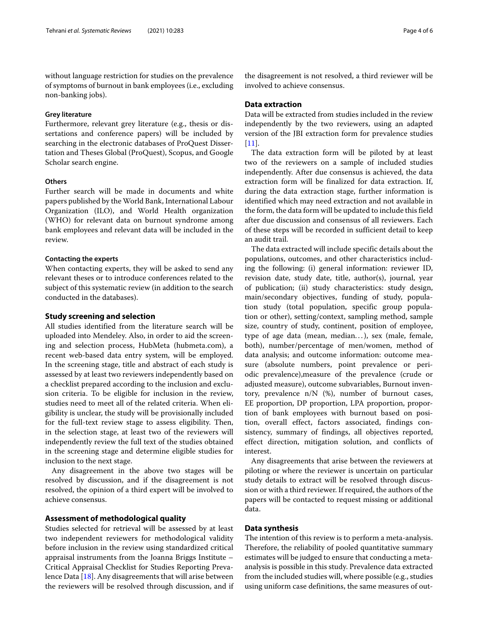without language restriction for studies on the prevalence of symptoms of burnout in bank employees (i.e., excluding non-banking jobs).

### **Grey literature**

Furthermore, relevant grey literature (e.g., thesis or dissertations and conference papers) will be included by searching in the electronic databases of ProQuest Dissertation and Theses Global (ProQuest), Scopus, and Google Scholar search engine.

# **Others**

Further search will be made in documents and white papers published by the World Bank, International Labour Organization (ILO), and World Health organization (WHO) for relevant data on burnout syndrome among bank employees and relevant data will be included in the review.

#### **Contacting the experts**

When contacting experts, they will be asked to send any relevant theses or to introduce conferences related to the subject of this systematic review (in addition to the search conducted in the databases).

#### **Study screening and selection**

All studies identified from the literature search will be uploaded into Mendeley. Also, in order to aid the screening and selection process, HubMeta (hubmeta.com), a recent web-based data entry system, will be employed. In the screening stage, title and abstract of each study is assessed by at least two reviewers independently based on a checklist prepared according to the inclusion and exclusion criteria. To be eligible for inclusion in the review, studies need to meet all of the related criteria. When eligibility is unclear, the study will be provisionally included for the full-text review stage to assess eligibility. Then, in the selection stage, at least two of the reviewers will independently review the full text of the studies obtained in the screening stage and determine eligible studies for inclusion to the next stage.

Any disagreement in the above two stages will be resolved by discussion, and if the disagreement is not resolved, the opinion of a third expert will be involved to achieve consensus.

# **Assessment of methodological quality**

Studies selected for retrieval will be assessed by at least two independent reviewers for methodological validity before inclusion in the review using standardized critical appraisal instruments from the Joanna Briggs Institute – Critical Appraisal Checklist for Studies Reporting Prevalence Data [\[18\]](#page-5-17). Any disagreements that will arise between the reviewers will be resolved through discussion, and if the disagreement is not resolved, a third reviewer will be involved to achieve consensus.

# **Data extraction**

Data will be extracted from studies included in the review independently by the two reviewers, using an adapted version of the JBI extraction form for prevalence studies  $[11]$ .

The data extraction form will be piloted by at least two of the reviewers on a sample of included studies independently. After due consensus is achieved, the data extraction form will be finalized for data extraction. If, during the data extraction stage, further information is identified which may need extraction and not available in the form, the data form will be updated to include this field after due discussion and consensus of all reviewers. Each of these steps will be recorded in sufficient detail to keep an audit trail.

The data extracted will include specific details about the populations, outcomes, and other characteristics including the following: (i) general information: reviewer ID, revision date, study date, title, author(s), journal, year of publication; (ii) study characteristics: study design, main/secondary objectives, funding of study, population study (total population, specific group population or other), setting/context, sampling method, sample size, country of study, continent, position of employee, type of age data (mean, median...), sex (male, female, both), number/percentage of men/women, method of data analysis; and outcome information: outcome measure (absolute numbers, point prevalence or periodic prevalence),measure of the prevalence (crude or adjusted measure), outcome subvariables, Burnout inventory, prevalence n/N (%), number of burnout cases, EE proportion, DP proportion, LPA proportion, proportion of bank employees with burnout based on position, overall effect, factors associated, findings consistency, summary of findings, all objectives reported, effect direction, mitigation solution, and conflicts of interest.

Any disagreements that arise between the reviewers at piloting or where the reviewer is uncertain on particular study details to extract will be resolved through discussion or with a third reviewer. If required, the authors of the papers will be contacted to request missing or additional data.

#### **Data synthesis**

The intention of this review is to perform a meta-analysis. Therefore, the reliability of pooled quantitative summary estimates will be judged to ensure that conducting a metaanalysis is possible in this study. Prevalence data extracted from the included studies will, where possible (e.g., studies using uniform case definitions, the same measures of out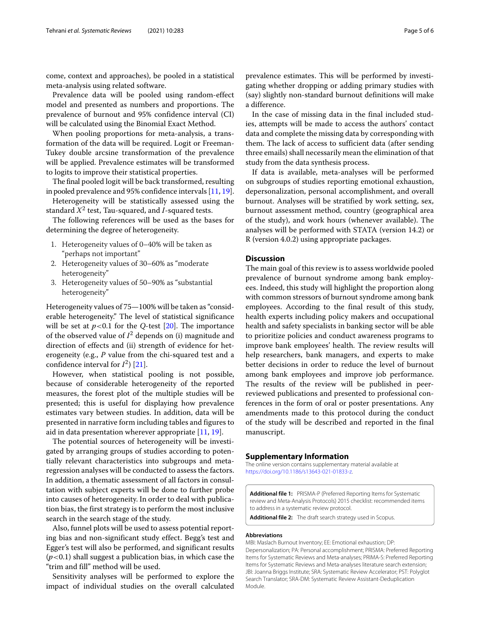come, context and approaches), be pooled in a statistical meta-analysis using related software.

Prevalence data will be pooled using random-effect model and presented as numbers and proportions. The prevalence of burnout and 95% confidence interval (CI) will be calculated using the Binomial Exact Method.

When pooling proportions for meta-analysis, a transformation of the data will be required. Logit or Freeman-Tukey double arcsine transformation of the prevalence will be applied. Prevalence estimates will be transformed to logits to improve their statistical properties.

The final pooled logit will be back transformed, resulting in pooled prevalence and 95% confidence intervals [\[11,](#page-5-10) [19\]](#page-5-18).

Heterogeneity will be statistically assessed using the standard  $X^2$  test, Tau-squared, and *I*-squared tests.

The following references will be used as the bases for determining the degree of heterogeneity.

- 1. Heterogeneity values of 0–40% will be taken as "perhaps not important"
- 2. Heterogeneity values of 30–60% as "moderate heterogeneity"
- 3. Heterogeneity values of 50–90% as "substantial heterogeneity"

Heterogeneity values of 75—100% will be taken as "considerable heterogeneity." The level of statistical significance will be set at  $p<0.1$  for the *Q*-test [\[20\]](#page-5-19). The importance of the observed value of  $I^2$  depends on (i) magnitude and direction of effects and (ii) strength of evidence for heterogeneity (e.g., *P* value from the chi-squared test and a confidence interval for  $I^2$ ) [\[21\]](#page-5-20).

However, when statistical pooling is not possible, because of considerable heterogeneity of the reported measures, the forest plot of the multiple studies will be presented; this is useful for displaying how prevalence estimates vary between studies. In addition, data will be presented in narrative form including tables and figures to aid in data presentation wherever appropriate  $[11, 19]$  $[11, 19]$  $[11, 19]$ .

The potential sources of heterogeneity will be investigated by arranging groups of studies according to potentially relevant characteristics into subgroups and metaregression analyses will be conducted to assess the factors. In addition, a thematic assessment of all factors in consultation with subject experts will be done to further probe into causes of heterogeneity. In order to deal with publication bias, the first strategy is to perform the most inclusive search in the search stage of the study.

Also, funnel plots will be used to assess potential reporting bias and non-significant study effect. Begg's test and Egger's test will also be performed, and significant results (*p*<0.1) shall suggest a publication bias, in which case the "trim and fill" method will be used.

Sensitivity analyses will be performed to explore the impact of individual studies on the overall calculated prevalence estimates. This will be performed by investigating whether dropping or adding primary studies with (say) slightly non-standard burnout definitions will make a difference.

In the case of missing data in the final included studies, attempts will be made to access the authors' contact data and complete the missing data by corresponding with them. The lack of access to sufficient data (after sending three emails) shall necessarily mean the elimination of that study from the data synthesis process.

If data is available, meta-analyses will be performed on subgroups of studies reporting emotional exhaustion, depersonalization, personal accomplishment, and overall burnout. Analyses will be stratified by work setting, sex, burnout assessment method, country (geographical area of the study), and work hours (whenever available). The analyses will be performed with STATA (version 14.2) or R (version 4.0.2) using appropriate packages.

# **Discussion**

The main goal of this review is to assess worldwide pooled prevalence of burnout syndrome among bank employees. Indeed, this study will highlight the proportion along with common stressors of burnout syndrome among bank employees. According to the final result of this study, health experts including policy makers and occupational health and safety specialists in banking sector will be able to prioritize policies and conduct awareness programs to improve bank employees' health. The review results will help researchers, bank managers, and experts to make better decisions in order to reduce the level of burnout among bank employees and improve job performance. The results of the review will be published in peerreviewed publications and presented to professional conferences in the form of oral or poster presentations. Any amendments made to this protocol during the conduct of the study will be described and reported in the final manuscript.

# **Supplementary Information**

The online version contains supplementary material available at [https://doi.org/10.1186/s13643-021-01833-z.](https://doi.org/10.1186/s13643-021-01833-z)

<span id="page-4-0"></span>**Additional file 1:** PRISMA-P (Preferred Reporting Items for Systematic review and Meta-Analysis Protocols) 2015 checklist: recommended items to address in a systematic review protocol.

<span id="page-4-1"></span>**Additional file 2:** The draft search strategy used in Scopus.

#### **Abbreviations**

MBI: Maslach Burnout Inventory; EE: Emotional exhaustion; DP: Depersonalization; PA: Personal accomplishment; PRISMA: Preferred Reporting Items for Systematic Reviews and Meta-analyses; PRIMA-S: Preferred Reporting Items for Systematic Reviews and Meta-analyses literature search extension; JBI: Joanna Briggs Institute; SRA: Systematic Review Accelerator; PST: Polyglot Search Translator; SRA-DM: Systematic Review Assistant-Deduplication Module.